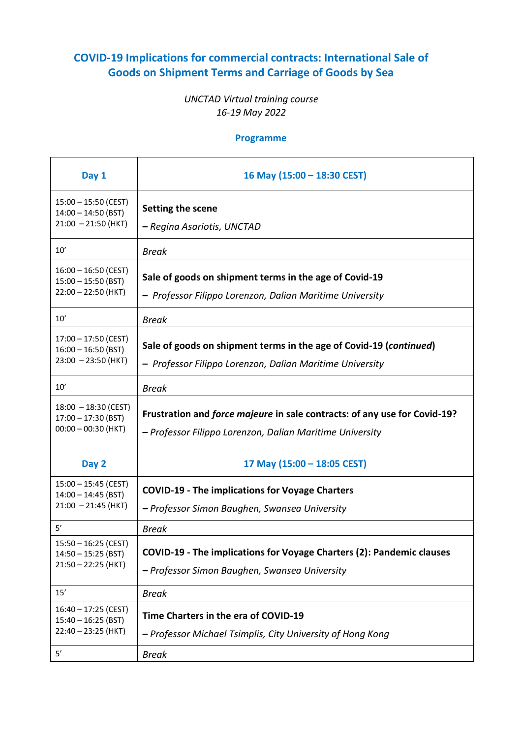## **COVID-19 Implications for commercial contracts: International Sale of Goods on Shipment Terms and Carriage of Goods by Sea**

## *UNCTAD Virtual training course 16-19 May 2022*

## **Programme**

| Day 1                                                                        | 16 May (15:00 - 18:30 CEST)                                                                                                           |
|------------------------------------------------------------------------------|---------------------------------------------------------------------------------------------------------------------------------------|
| $15:00 - 15:50$ (CEST)<br>$14:00 - 14:50$ (BST)<br>$21:00 - 21:50$ (HKT)     | Setting the scene<br>– Regina Asariotis, UNCTAD                                                                                       |
| 10'                                                                          | <b>Break</b>                                                                                                                          |
| $16:00 - 16:50$ (CEST)<br>$15:00 - 15:50$ (BST)<br>$22:00 - 22:50$ (HKT)     | Sale of goods on shipment terms in the age of Covid-19<br>- Professor Filippo Lorenzon, Dalian Maritime University                    |
| 10'                                                                          | <b>Break</b>                                                                                                                          |
| $17:00 - 17:50$ (CEST)<br>$16:00 - 16:50$ (BST)<br>$23:00 - 23:50$ (HKT)     | Sale of goods on shipment terms in the age of Covid-19 (continued)<br>- Professor Filippo Lorenzon, Dalian Maritime University        |
| 10'                                                                          | <b>Break</b>                                                                                                                          |
| $18:00 - 18:30$ (CEST)<br>$17:00 - 17:30$ (BST)<br>$00:00 - 00:30$ (HKT)     | Frustration and force majeure in sale contracts: of any use for Covid-19?<br>- Professor Filippo Lorenzon, Dalian Maritime University |
| Day 2                                                                        | 17 May (15:00 - 18:05 CEST)                                                                                                           |
| $15:00 - 15:45$ (CEST)<br>$14:00 - 14:45$ (BST)<br>$21:00 - 21:45$ (HKT)     | <b>COVID-19 - The implications for Voyage Charters</b><br>- Professor Simon Baughen, Swansea University                               |
| 5'                                                                           | <b>Break</b>                                                                                                                          |
| $15:50 - 16:25$ (CEST)<br>$14:50 - 15:25$ (BST)<br>$21:50 - 22:25$ (HKT)     | COVID-19 - The implications for Voyage Charters (2): Pandemic clauses<br>- Professor Simon Baughen, Swansea University                |
| 15'                                                                          | <b>Break</b>                                                                                                                          |
| $16:40 - 17:25$ (CEST)<br>$15:40 - 16:25$ (BST)<br>22:40 - 23:25 (HKT)<br>5' | Time Charters in the era of COVID-19<br>- Professor Michael Tsimplis, City University of Hong Kong<br><b>Break</b>                    |
|                                                                              |                                                                                                                                       |